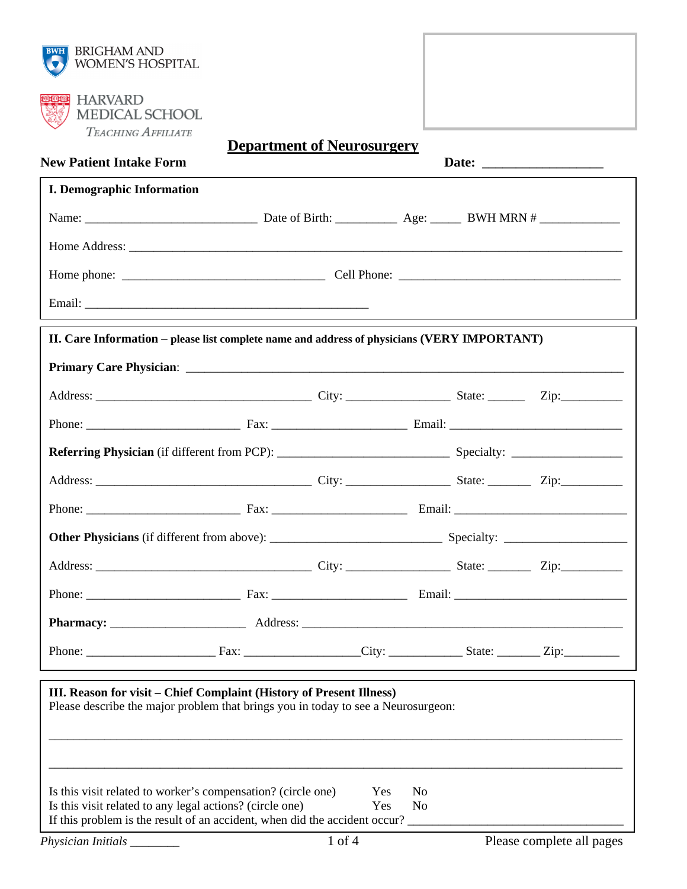| TEACHING AFFILIATE<br><b>New Patient Intake Form</b>                                                                                                      | <b>Department of Neurosurgery</b> |     |                |  |
|-----------------------------------------------------------------------------------------------------------------------------------------------------------|-----------------------------------|-----|----------------|--|
| <b>I. Demographic Information</b>                                                                                                                         |                                   |     |                |  |
|                                                                                                                                                           |                                   |     |                |  |
|                                                                                                                                                           |                                   |     |                |  |
|                                                                                                                                                           |                                   |     |                |  |
|                                                                                                                                                           |                                   |     |                |  |
|                                                                                                                                                           |                                   |     |                |  |
| II. Care Information – please list complete name and address of physicians (VERY IMPORTANT)                                                               |                                   |     |                |  |
| Primary Care Physician: <u>December 2008</u>                                                                                                              |                                   |     |                |  |
|                                                                                                                                                           |                                   |     |                |  |
|                                                                                                                                                           |                                   |     |                |  |
|                                                                                                                                                           |                                   |     |                |  |
|                                                                                                                                                           |                                   |     |                |  |
|                                                                                                                                                           |                                   |     |                |  |
|                                                                                                                                                           |                                   |     |                |  |
|                                                                                                                                                           |                                   |     |                |  |
|                                                                                                                                                           |                                   |     |                |  |
|                                                                                                                                                           |                                   |     |                |  |
|                                                                                                                                                           |                                   |     |                |  |
| III. Reason for visit – Chief Complaint (History of Present Illness)<br>Please describe the major problem that brings you in today to see a Neurosurgeon: |                                   |     |                |  |
| Is this visit related to worker's compensation? (circle one)                                                                                              |                                   | Yes | No.            |  |
| Is this visit related to any legal actions? (circle one)<br>If this problem is the result of an accident, when did the accident occur?                    |                                   | Yes | N <sub>0</sub> |  |
|                                                                                                                                                           |                                   |     |                |  |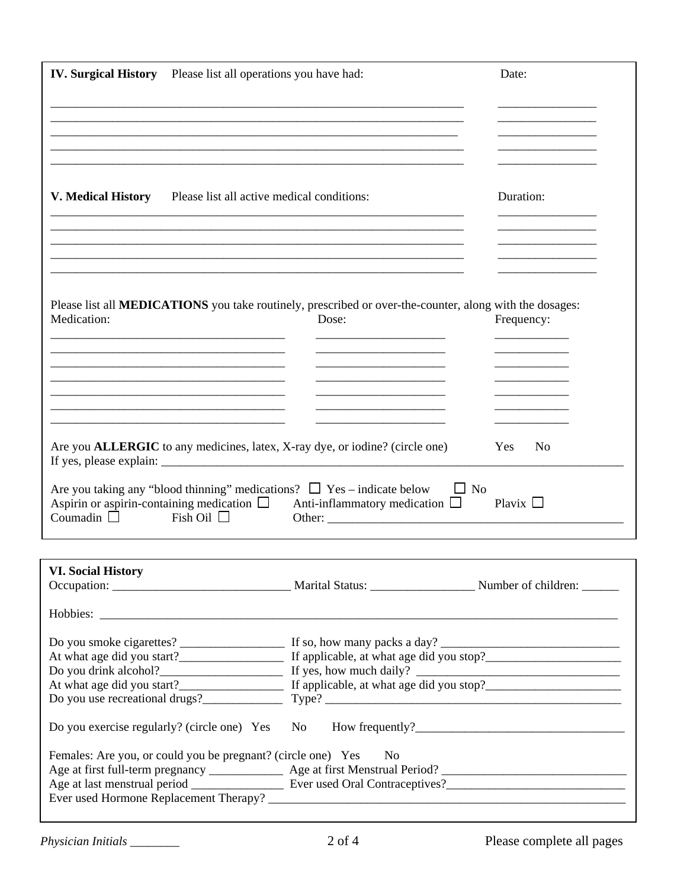| <b>IV. Surgical History</b> Please list all operations you have had:                                                                                                  | Date:                                            |                              |
|-----------------------------------------------------------------------------------------------------------------------------------------------------------------------|--------------------------------------------------|------------------------------|
|                                                                                                                                                                       |                                                  |                              |
|                                                                                                                                                                       |                                                  |                              |
| V. Medical History Please list all active medical conditions:                                                                                                         |                                                  | Duration:                    |
|                                                                                                                                                                       |                                                  |                              |
| Please list all <b>MEDICATIONS</b> you take routinely, prescribed or over-the-counter, along with the dosages:<br>Medication:                                         | Dose:                                            | Frequency:                   |
|                                                                                                                                                                       |                                                  |                              |
| Are you <b>ALLERGIC</b> to any medicines, latex, X-ray dye, or iodine? (circle one)                                                                                   |                                                  | <b>Yes</b><br>N <sub>0</sub> |
| Are you taking any "blood thinning" medications? $\Box$ Yes – indicate below<br>Aspirin or aspirin-containing medication $\Box$<br>Coumadin $\Box$<br>Fish Oil $\Box$ | $\Box$ No<br>Anti-inflammatory medication $\Box$ | Plavix $\Box$                |
|                                                                                                                                                                       |                                                  |                              |
| <b>VI. Social History</b>                                                                                                                                             |                                                  |                              |
|                                                                                                                                                                       |                                                  |                              |
|                                                                                                                                                                       |                                                  |                              |
| Do you use recreational drugs? Type? Type?                                                                                                                            |                                                  |                              |
| Do you exercise regularly? (circle one) Yes No                                                                                                                        |                                                  |                              |
| Females: Are you, or could you be pregnant? (circle one) Yes                                                                                                          | N <sub>o</sub>                                   |                              |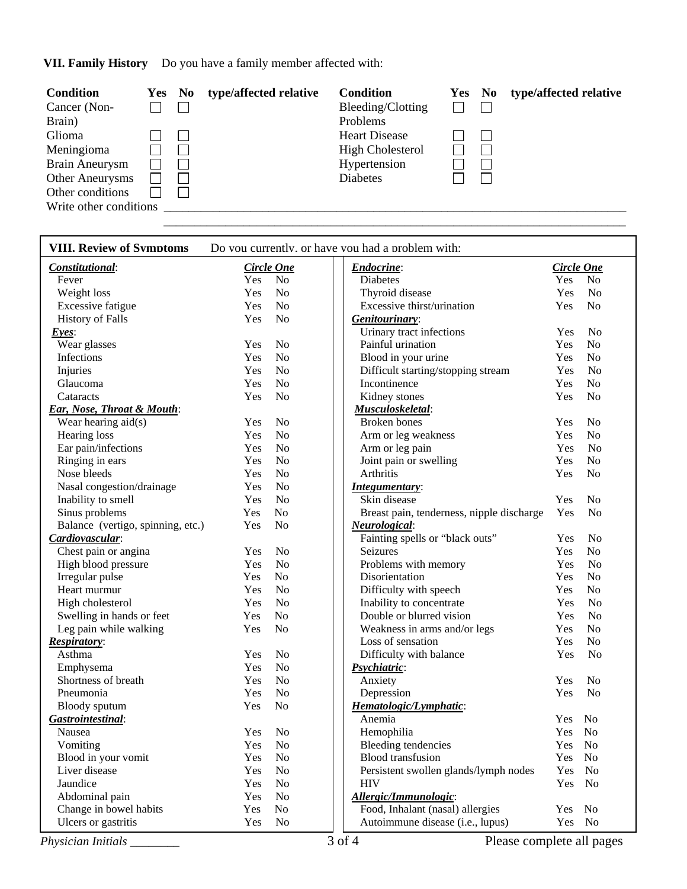**VII. Family History** Do you have a family member affected with:

| Condition              | <b>Yes</b> | N <sub>0</sub> | type/affected relative | <b>Condition</b>        | Yes | $\mathbf{N}\mathbf{0}$ | type/affected relative |
|------------------------|------------|----------------|------------------------|-------------------------|-----|------------------------|------------------------|
| Cancer (Non-           |            |                |                        | Bleeding/Clotting       |     |                        |                        |
| Brain)                 |            |                |                        | Problems                |     |                        |                        |
| Glioma                 |            |                |                        | <b>Heart Disease</b>    |     | $\mathbf{I}$           |                        |
| Meningioma             |            |                |                        | <b>High Cholesterol</b> |     |                        |                        |
| <b>Brain Aneurysm</b>  |            |                |                        | Hypertension            |     |                        |                        |
| <b>Other Aneurysms</b> |            |                |                        | <b>Diabetes</b>         |     |                        |                        |
| Other conditions       |            |                |                        |                         |     |                        |                        |
| Write other conditions |            |                |                        |                         |     |                        |                        |

\_\_\_\_\_\_\_\_\_\_\_\_\_\_\_\_\_\_\_\_\_\_\_\_\_\_\_\_\_\_\_\_\_\_\_\_\_\_\_\_\_\_\_\_\_\_\_\_\_\_\_\_\_\_\_\_\_\_\_\_\_\_\_\_\_\_\_\_\_\_\_\_\_\_\_

| <b>VIII. Review of Symptoms</b>       | Do you currently, or have you had a problem with: |                   |  |                                           |                   |                |
|---------------------------------------|---------------------------------------------------|-------------------|--|-------------------------------------------|-------------------|----------------|
| Constitutional:                       |                                                   | <b>Circle One</b> |  | <b>Endocrine:</b>                         | <b>Circle One</b> |                |
| Fever                                 | Yes                                               | No                |  | <b>Diabetes</b>                           | Yes               | N <sub>o</sub> |
| Weight loss                           | Yes                                               | N <sub>o</sub>    |  | Thyroid disease                           | Yes               | N <sub>o</sub> |
| <b>Excessive fatigue</b>              | Yes                                               | No                |  | Excessive thirst/urination                | Yes               | N <sub>o</sub> |
| <b>History of Falls</b>               | Yes                                               | N <sub>o</sub>    |  | Genitourinary:                            |                   |                |
| $Eyes$ :                              |                                                   |                   |  | Urinary tract infections                  | Yes               | N <sub>o</sub> |
| Wear glasses                          | Yes                                               | N <sub>o</sub>    |  | Painful urination                         | Yes               | N <sub>o</sub> |
| Infections                            | Yes                                               | N <sub>o</sub>    |  | Blood in your urine                       | Yes               | N <sub>o</sub> |
| Injuries                              | Yes                                               | No                |  | Difficult starting/stopping stream        | Yes               | N <sub>o</sub> |
| Glaucoma                              | Yes                                               | N <sub>o</sub>    |  | Incontinence                              | Yes               | N <sub>o</sub> |
| Cataracts                             | Yes                                               | N <sub>o</sub>    |  | Kidney stones                             | Yes               | N <sub>o</sub> |
| <b>Ear, Nose, Throat &amp; Mouth:</b> |                                                   |                   |  | <b>Musculoskeletal:</b>                   |                   |                |
| Wear hearing aid(s)                   | Yes                                               | N <sub>o</sub>    |  | Broken bones                              | Yes               | N <sub>o</sub> |
| Hearing loss                          | Yes                                               | N <sub>o</sub>    |  | Arm or leg weakness                       | Yes               | N <sub>o</sub> |
| Ear pain/infections                   | Yes                                               | N <sub>0</sub>    |  | Arm or leg pain                           | Yes               | N <sub>o</sub> |
| Ringing in ears                       | Yes                                               | N <sub>o</sub>    |  | Joint pain or swelling                    | Yes               | N <sub>o</sub> |
| Nose bleeds                           | Yes                                               | N <sub>o</sub>    |  | Arthritis                                 | Yes               | N <sub>o</sub> |
| Nasal congestion/drainage             | Yes                                               | N <sub>o</sub>    |  | Integumentary:                            |                   |                |
| Inability to smell                    | Yes                                               | N <sub>o</sub>    |  | Skin disease                              | Yes               | N <sub>o</sub> |
| Sinus problems                        | Yes                                               | N <sub>o</sub>    |  | Breast pain, tenderness, nipple discharge | Yes               | N <sub>o</sub> |
| Balance (vertigo, spinning, etc.)     | Yes                                               | N <sub>o</sub>    |  | <b>Neurological:</b>                      |                   |                |
| Cardiovascular:                       |                                                   |                   |  | Fainting spells or "black outs"           | Yes               | No             |
| Chest pain or angina                  | Yes                                               | N <sub>o</sub>    |  | Seizures                                  | Yes               | N <sub>o</sub> |
| High blood pressure                   | Yes                                               | N <sub>o</sub>    |  | Problems with memory                      | Yes               | N <sub>o</sub> |
| Irregular pulse                       | Yes                                               | N <sub>o</sub>    |  | Disorientation                            | Yes               | N <sub>o</sub> |
| Heart murmur                          | Yes                                               | N <sub>0</sub>    |  | Difficulty with speech                    | Yes               | N <sub>o</sub> |
| High cholesterol                      | Yes                                               | N <sub>o</sub>    |  | Inability to concentrate                  | Yes               | N <sub>o</sub> |
| Swelling in hands or feet             | Yes                                               | N <sub>o</sub>    |  | Double or blurred vision                  | Yes               | N <sub>o</sub> |
| Leg pain while walking                | Yes                                               | N <sub>o</sub>    |  | Weakness in arms and/or legs              | Yes               | N <sub>o</sub> |
| <b>Respiratory:</b>                   |                                                   |                   |  | Loss of sensation                         | Yes               | N <sub>o</sub> |
| Asthma                                | Yes                                               | N <sub>o</sub>    |  | Difficulty with balance                   | Yes               | N <sub>o</sub> |
| Emphysema                             | Yes                                               | No                |  | Psychiatric:                              |                   |                |
| Shortness of breath                   | Yes                                               | N <sub>o</sub>    |  | Anxiety                                   | Yes               | N <sub>o</sub> |
| Pneumonia                             | Yes                                               | N <sub>o</sub>    |  | Depression                                | Yes               | N <sub>o</sub> |
| Bloody sputum                         | Yes                                               | N <sub>o</sub>    |  | Hematologic/Lymphatic:                    |                   |                |
| Gastrointestinal:                     |                                                   |                   |  | Anemia                                    | Yes               | N <sub>0</sub> |
| Nausea                                | Yes                                               | N <sub>o</sub>    |  | Hemophilia                                | <b>Yes</b>        | <b>No</b>      |
| Vomiting                              | Yes                                               | N <sub>o</sub>    |  | Bleeding tendencies                       | Yes No            |                |
| Blood in your vomit                   | Yes                                               | N <sub>0</sub>    |  | <b>Blood</b> transfusion                  | Yes               | N <sub>0</sub> |
| Liver disease                         | Yes                                               | N <sub>0</sub>    |  | Persistent swollen glands/lymph nodes     | Yes               | No             |
| Jaundice                              | Yes                                               | N <sub>0</sub>    |  | <b>HIV</b>                                | Yes               | No             |
| Abdominal pain                        | Yes                                               | N <sub>0</sub>    |  | Allergic/Immunologic:                     |                   |                |
| Change in bowel habits                | Yes                                               | No                |  | Food, Inhalant (nasal) allergies          | <b>Yes</b>        | No             |
| Ulcers or gastritis                   | Yes                                               | N <sub>0</sub>    |  | Autoimmune disease (i.e., lupus)          | Yes No            |                |